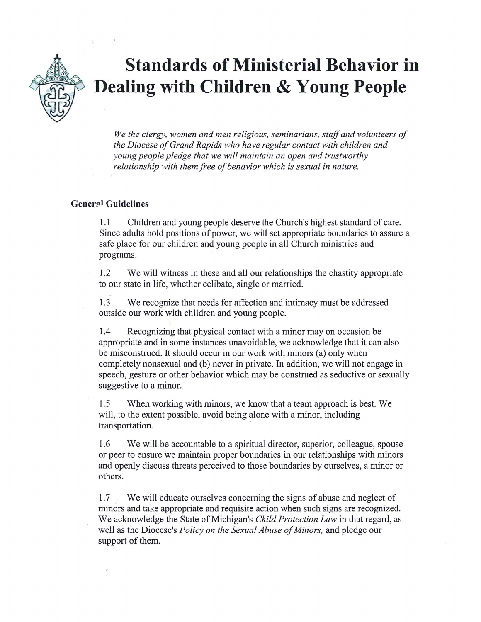

## **Standards of Ministerial Behavior in Dealing with Children & Young People**

We the clergy, women and men religious, seminarians, staff and volunteers of the Diocese of Grand Rapids who have regular contact with children and young people pledge that we will maintain an open and trustworthy relationship with them free of behavior which is sexual in nature.

## **General Guidelines**

 $1.1$ Children and young people deserve the Church's highest standard of care. Since adults hold positions of power, we will set appropriate boundaries to assure a safe place for our children and young people in all Church ministries and programs.

 $1.2$ We will witness in these and all our relationships the chastity appropriate to our state in life, whether celibate, single or married.

1.3 We recognize that needs for affection and intimacy must be addressed outside our work with children and young people.

 $1.4$ Recognizing that physical contact with a minor may on occasion be appropriate and in some instances unavoidable, we acknowledge that it can also be misconstrued. It should occur in our work with minors (a) only when completely nonsexual and (b) never in private. In addition, we will not engage in speech, gesture or other behavior which may be construed as seductive or sexually suggestive to a minor.

When working with minors, we know that a team approach is best. We 1.5 will, to the extent possible, avoid being alone with a minor, including transportation.

1.6 We will be accountable to a spiritual director, superior, colleague, spouse or peer to ensure we maintain proper boundaries in our relationships with minors and openly discuss threats perceived to those boundaries by ourselves, a minor or others.

1.7 We will educate ourselves concerning the signs of abuse and neglect of minors and take appropriate and requisite action when such signs are recognized. We acknowledge the State of Michigan's Child Protection Law in that regard, as well as the Diocese's Policy on the Sexual Abuse of Minors, and pledge our support of them.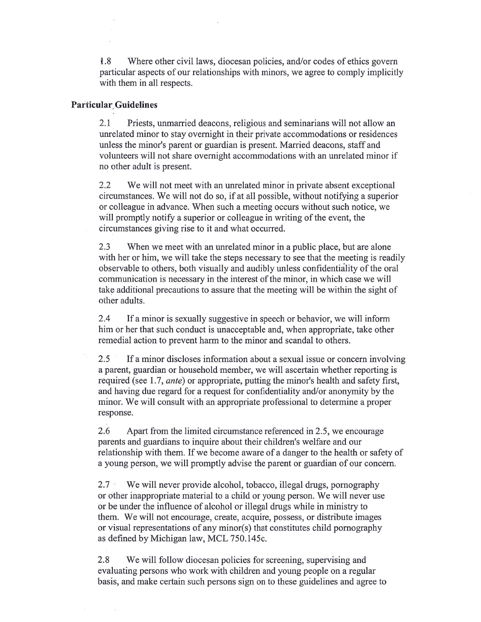1.8 Where other civil laws, diocesan policies, and/or codes of ethics govern particular aspects of our relationships with minors, we agree to comply implicitly with them in all respects.

## **Particular Guidelines**

 $2.1$ Priests, unmarried deacons, religious and seminarians will not allow an unrelated minor to stay overnight in their private accommodations or residences unless the minor's parent or guardian is present. Married deacons, staff and volunteers will not share overnight accommodations with an unrelated minor if no other adult is present.

 $2.2$ We will not meet with an unrelated minor in private absent exceptional circumstances. We will not do so, if at all possible, without notifying a superior or colleague in advance. When such a meeting occurs without such notice, we will promptly notify a superior or colleague in writing of the event, the circumstances giving rise to it and what occurred.

2.3 When we meet with an unrelated minor in a public place, but are alone with her or him, we will take the steps necessary to see that the meeting is readily observable to others, both visually and audibly unless confidentiality of the oral communication is necessary in the interest of the minor, in which case we will take additional precautions to assure that the meeting will be within the sight of other adults.

2.4 If a minor is sexually suggestive in speech or behavior, we will inform him or her that such conduct is unacceptable and, when appropriate, take other remedial action to prevent harm to the minor and scandal to others.

2.5 If a minor discloses information about a sexual issue or concern involving a parent, guardian or household member, we will ascertain whether reporting is required (see 1.7, *ante*) or appropriate, putting the minor's health and safety first, and having due regard for a request for confidentiality and/or anonymity by the minor. We will consult with an appropriate professional to determine a proper response.

2.6 Apart from the limited circumstance referenced in 2.5, we encourage parents and guardians to inquire about their children's welfare and our relationship with them. If we become aware of a danger to the health or safety of a young person, we will promptly advise the parent or guardian of our concern.

 $2.7 -$ We will never provide alcohol, tobacco, illegal drugs, pornography or other inappropriate material to a child or young person. We will never use or be under the influence of alcohol or illegal drugs while in ministry to them. We will not encourage, create, acquire, possess, or distribute images or visual representations of any minor(s) that constitutes child pornography as defined by Michigan law, MCL 750.145c.

2.8 We will follow diocesan policies for screening, supervising and evaluating persons who work with children and young people on a regular basis, and make certain such persons sign on to these guidelines and agree to